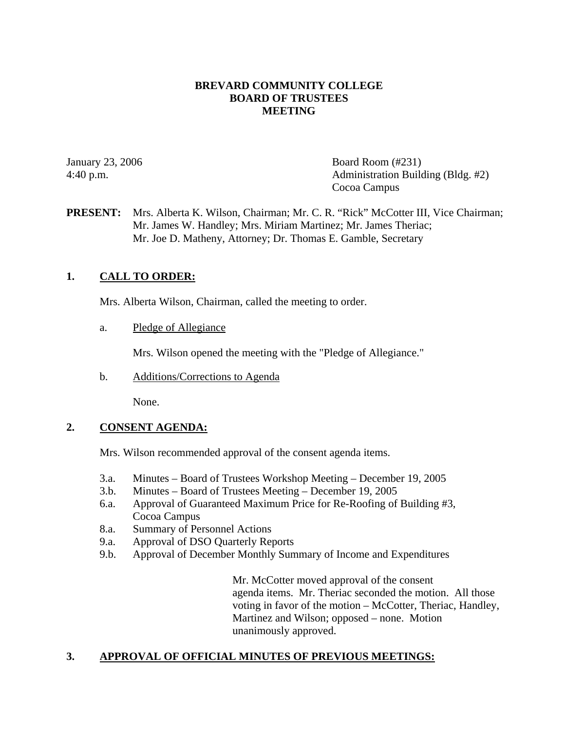## **BREVARD COMMUNITY COLLEGE BOARD OF TRUSTEES MEETING**

January 23, 2006 Board Room (#231) 4:40 p.m. Administration Building (Bldg. #2) Cocoa Campus

## **PRESENT:** Mrs. Alberta K. Wilson, Chairman; Mr. C. R. "Rick" McCotter III, Vice Chairman; Mr. James W. Handley; Mrs. Miriam Martinez; Mr. James Theriac; Mr. Joe D. Matheny, Attorney; Dr. Thomas E. Gamble, Secretary

## **1. CALL TO ORDER:**

Mrs. Alberta Wilson, Chairman, called the meeting to order.

a. Pledge of Allegiance

Mrs. Wilson opened the meeting with the "Pledge of Allegiance."

b. Additions/Corrections to Agenda

None.

#### **2. CONSENT AGENDA:**

Mrs. Wilson recommended approval of the consent agenda items.

- 3.a. Minutes Board of Trustees Workshop Meeting December 19, 2005
- 3.b. Minutes Board of Trustees Meeting December 19, 2005
- 6.a. Approval of Guaranteed Maximum Price for Re-Roofing of Building #3, Cocoa Campus
- 8.a. Summary of Personnel Actions
- 9.a. Approval of DSO Quarterly Reports
- 9.b. Approval of December Monthly Summary of Income and Expenditures

Mr. McCotter moved approval of the consent agenda items. Mr. Theriac seconded the motion. All those voting in favor of the motion – McCotter, Theriac, Handley, Martinez and Wilson; opposed – none. Motion unanimously approved.

## **3. APPROVAL OF OFFICIAL MINUTES OF PREVIOUS MEETINGS:**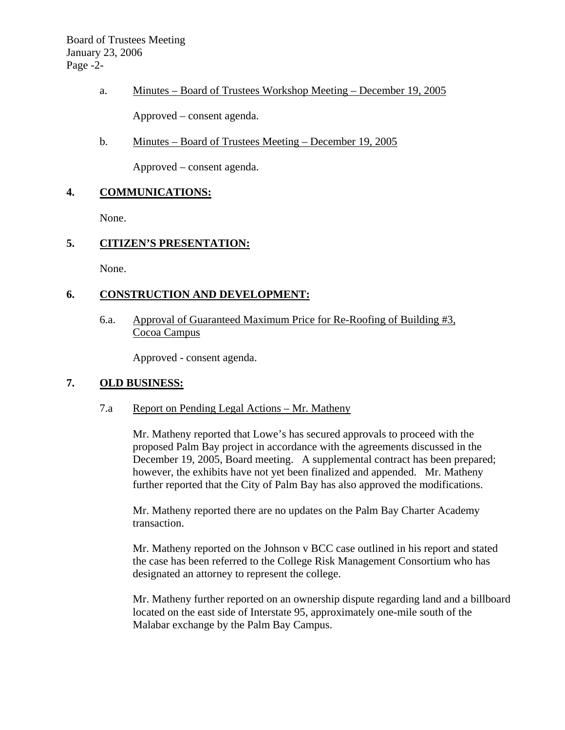# a. Minutes – Board of Trustees Workshop Meeting – December 19, 2005

Approved – consent agenda.

b. Minutes – Board of Trustees Meeting – December 19, 2005

Approved – consent agenda.

# **4. COMMUNICATIONS:**

None.

# **5. CITIZEN'S PRESENTATION:**

None.

# **6. CONSTRUCTION AND DEVELOPMENT:**

6.a. Approval of Guaranteed Maximum Price for Re-Roofing of Building #3, Cocoa Campus

Approved - consent agenda.

## **7. OLD BUSINESS:**

## 7.a Report on Pending Legal Actions – Mr. Matheny

Mr. Matheny reported that Lowe's has secured approvals to proceed with the proposed Palm Bay project in accordance with the agreements discussed in the December 19, 2005, Board meeting. A supplemental contract has been prepared; however, the exhibits have not yet been finalized and appended. Mr. Matheny further reported that the City of Palm Bay has also approved the modifications.

Mr. Matheny reported there are no updates on the Palm Bay Charter Academy transaction.

Mr. Matheny reported on the Johnson v BCC case outlined in his report and stated the case has been referred to the College Risk Management Consortium who has designated an attorney to represent the college.

Mr. Matheny further reported on an ownership dispute regarding land and a billboard located on the east side of Interstate 95, approximately one-mile south of the Malabar exchange by the Palm Bay Campus.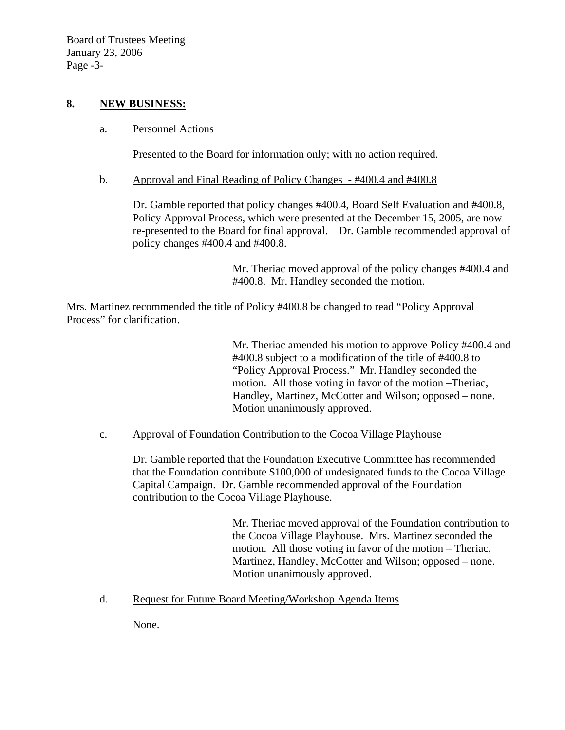Board of Trustees Meeting January 23, 2006 Page -3-

#### **8. NEW BUSINESS:**

## a. Personnel Actions

Presented to the Board for information only; with no action required.

#### b. Approval and Final Reading of Policy Changes - #400.4 and #400.8

Dr. Gamble reported that policy changes #400.4, Board Self Evaluation and #400.8, Policy Approval Process, which were presented at the December 15, 2005, are now re-presented to the Board for final approval. Dr. Gamble recommended approval of policy changes #400.4 and #400.8.

> Mr. Theriac moved approval of the policy changes #400.4 and #400.8. Mr. Handley seconded the motion.

Mrs. Martinez recommended the title of Policy #400.8 be changed to read "Policy Approval Process" for clarification.

> Mr. Theriac amended his motion to approve Policy #400.4 and #400.8 subject to a modification of the title of #400.8 to "Policy Approval Process." Mr. Handley seconded the motion. All those voting in favor of the motion –Theriac, Handley, Martinez, McCotter and Wilson; opposed – none. Motion unanimously approved.

#### c. Approval of Foundation Contribution to the Cocoa Village Playhouse

Dr. Gamble reported that the Foundation Executive Committee has recommended that the Foundation contribute \$100,000 of undesignated funds to the Cocoa Village Capital Campaign. Dr. Gamble recommended approval of the Foundation contribution to the Cocoa Village Playhouse.

> Mr. Theriac moved approval of the Foundation contribution to the Cocoa Village Playhouse. Mrs. Martinez seconded the motion. All those voting in favor of the motion – Theriac, Martinez, Handley, McCotter and Wilson; opposed – none. Motion unanimously approved.

#### d. Request for Future Board Meeting/Workshop Agenda Items

None.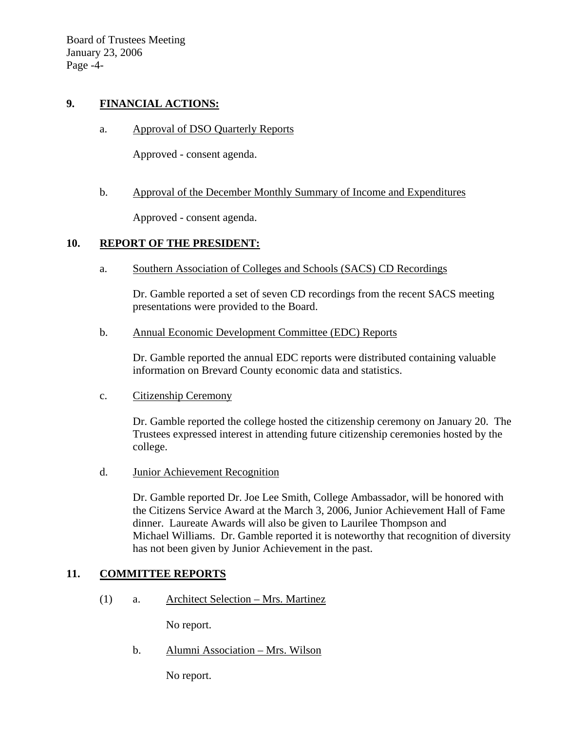Board of Trustees Meeting January 23, 2006 Page -4-

## **9. FINANCIAL ACTIONS:**

a. Approval of DSO Quarterly Reports

Approved - consent agenda.

#### b. Approval of the December Monthly Summary of Income and Expenditures

Approved - consent agenda.

## **10. REPORT OF THE PRESIDENT:**

a. Southern Association of Colleges and Schools (SACS) CD Recordings

Dr. Gamble reported a set of seven CD recordings from the recent SACS meeting presentations were provided to the Board.

b. Annual Economic Development Committee (EDC) Reports

Dr. Gamble reported the annual EDC reports were distributed containing valuable information on Brevard County economic data and statistics.

c. Citizenship Ceremony

Dr. Gamble reported the college hosted the citizenship ceremony on January 20. The Trustees expressed interest in attending future citizenship ceremonies hosted by the college.

d. Junior Achievement Recognition

Dr. Gamble reported Dr. Joe Lee Smith, College Ambassador, will be honored with the Citizens Service Award at the March 3, 2006, Junior Achievement Hall of Fame dinner. Laureate Awards will also be given to Laurilee Thompson and Michael Williams. Dr. Gamble reported it is noteworthy that recognition of diversity has not been given by Junior Achievement in the past.

#### **11. COMMITTEE REPORTS**

(1) a. Architect Selection – Mrs. Martinez

No report.

b. Alumni Association – Mrs. Wilson

No report.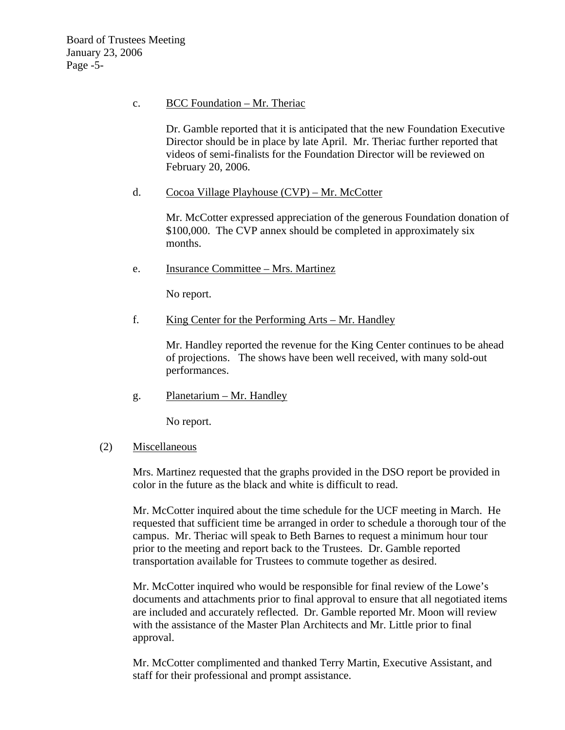#### c. BCC Foundation – Mr. Theriac

Dr. Gamble reported that it is anticipated that the new Foundation Executive Director should be in place by late April. Mr. Theriac further reported that videos of semi-finalists for the Foundation Director will be reviewed on February 20, 2006.

## d. Cocoa Village Playhouse (CVP) – Mr. McCotter

Mr. McCotter expressed appreciation of the generous Foundation donation of \$100,000. The CVP annex should be completed in approximately six months.

e. Insurance Committee – Mrs. Martinez

No report.

## f. King Center for the Performing Arts – Mr. Handley

Mr. Handley reported the revenue for the King Center continues to be ahead of projections. The shows have been well received, with many sold-out performances.

g. Planetarium – Mr. Handley

No report.

#### (2) Miscellaneous

Mrs. Martinez requested that the graphs provided in the DSO report be provided in color in the future as the black and white is difficult to read.

Mr. McCotter inquired about the time schedule for the UCF meeting in March. He requested that sufficient time be arranged in order to schedule a thorough tour of the campus. Mr. Theriac will speak to Beth Barnes to request a minimum hour tour prior to the meeting and report back to the Trustees. Dr. Gamble reported transportation available for Trustees to commute together as desired.

Mr. McCotter inquired who would be responsible for final review of the Lowe's documents and attachments prior to final approval to ensure that all negotiated items are included and accurately reflected. Dr. Gamble reported Mr. Moon will review with the assistance of the Master Plan Architects and Mr. Little prior to final approval.

Mr. McCotter complimented and thanked Terry Martin, Executive Assistant, and staff for their professional and prompt assistance.